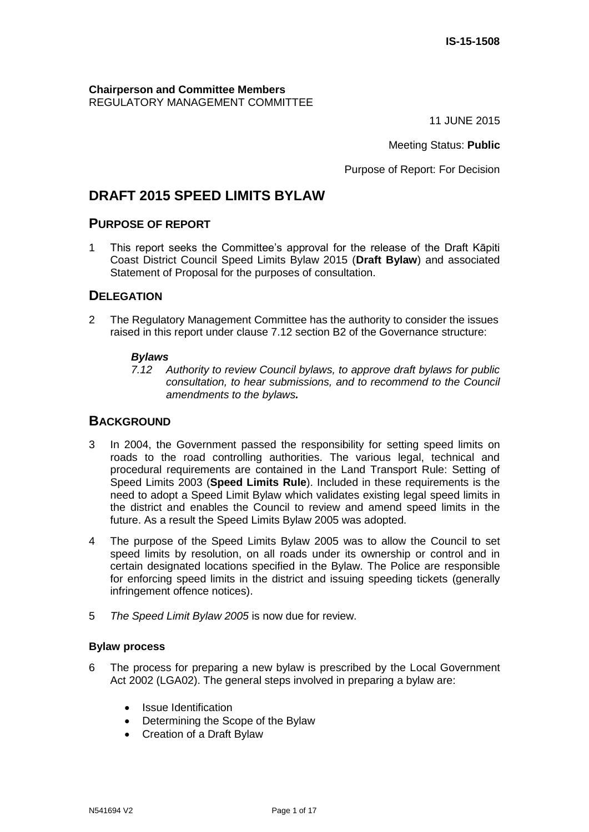**Chairperson and Committee Members** REGULATORY MANAGEMENT COMMITTEE

11 JUNE 2015

Meeting Status: **Public**

Purpose of Report: For Decision

# **DRAFT 2015 SPEED LIMITS BYLAW**

#### **PURPOSE OF REPORT**

1 This report seeks the Committee's approval for the release of the Draft Kāpiti Coast District Council Speed Limits Bylaw 2015 (**Draft Bylaw**) and associated Statement of Proposal for the purposes of consultation.

### **DELEGATION**

2 The Regulatory Management Committee has the authority to consider the issues raised in this report under clause 7.12 section B2 of the Governance structure:

#### *Bylaws*

*7.12 Authority to review Council bylaws, to approve draft bylaws for public consultation, to hear submissions, and to recommend to the Council amendments to the bylaws.*

### **BACKGROUND**

- 3 In 2004, the Government passed the responsibility for setting speed limits on roads to the road controlling authorities. The various legal, technical and procedural requirements are contained in the Land Transport Rule: Setting of Speed Limits 2003 (**Speed Limits Rule**). Included in these requirements is the need to adopt a Speed Limit Bylaw which validates existing legal speed limits in the district and enables the Council to review and amend speed limits in the future. As a result the Speed Limits Bylaw 2005 was adopted.
- 4 The purpose of the Speed Limits Bylaw 2005 was to allow the Council to set speed limits by resolution, on all roads under its ownership or control and in certain designated locations specified in the Bylaw. The Police are responsible for enforcing speed limits in the district and issuing speeding tickets (generally infringement offence notices).
- 5 *The Speed Limit Bylaw 2005* is now due for review.

#### **Bylaw process**

- 6 The process for preparing a new bylaw is prescribed by the Local Government Act 2002 (LGA02). The general steps involved in preparing a bylaw are:
	- Issue Identification
	- Determining the Scope of the Bylaw
	- Creation of a Draft Bylaw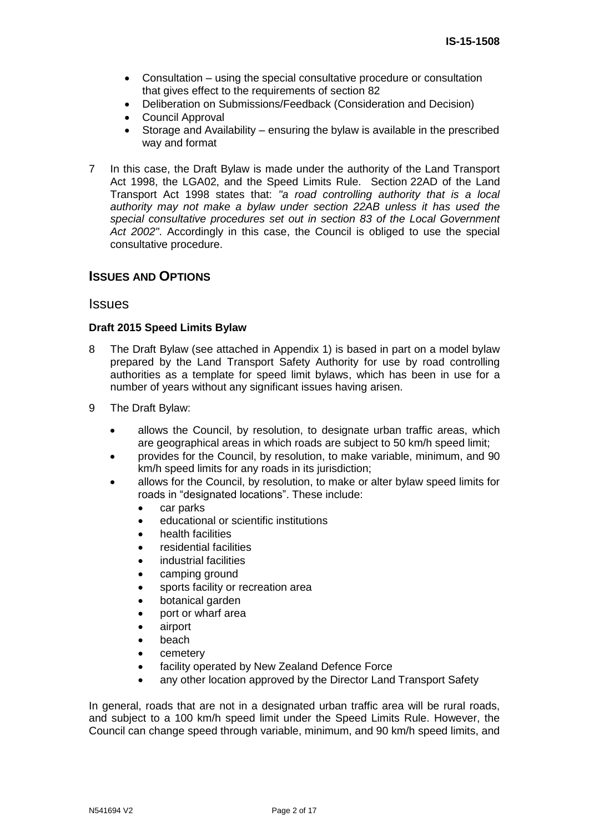- Consultation using the special consultative procedure or consultation that gives effect to the requirements of section 82
- Deliberation on Submissions/Feedback (Consideration and Decision)
- Council Approval
- Storage and Availability ensuring the bylaw is available in the prescribed way and format
- 7 In this case, the Draft Bylaw is made under the authority of the Land Transport Act 1998, the LGA02, and the Speed Limits Rule. Section 22AD of the Land Transport Act 1998 states that: *"a road controlling authority that is a local authority may not make a bylaw under section 22AB unless it has used the special consultative procedures set out in section 83 of the Local Government Act 2002"*. Accordingly in this case, the Council is obliged to use the special consultative procedure.

#### **ISSUES AND OPTIONS**

#### **Issues**

#### **Draft 2015 Speed Limits Bylaw**

- 8 The Draft Bylaw (see attached in Appendix 1) is based in part on a model bylaw prepared by the Land Transport Safety Authority for use by road controlling authorities as a template for speed limit bylaws, which has been in use for a number of years without any significant issues having arisen.
- 9 The Draft Bylaw:
	- allows the Council, by resolution, to designate urban traffic areas, which are geographical areas in which roads are subject to 50 km/h speed limit;
	- provides for the Council, by resolution, to make variable, minimum, and 90 km/h speed limits for any roads in its jurisdiction;
	- allows for the Council, by resolution, to make or alter bylaw speed limits for roads in "designated locations". These include:
		- car parks
		- educational or scientific institutions
		- health facilities
		- residential facilities
		- industrial facilities
		- camping ground
		- sports facility or recreation area
		- botanical garden
		- port or wharf area
		- airport
		- beach
		- cemetery
		- facility operated by New Zealand Defence Force
		- any other location approved by the Director Land Transport Safety

In general, roads that are not in a designated urban traffic area will be rural roads, and subject to a 100 km/h speed limit under the Speed Limits Rule. However, the Council can change speed through variable, minimum, and 90 km/h speed limits, and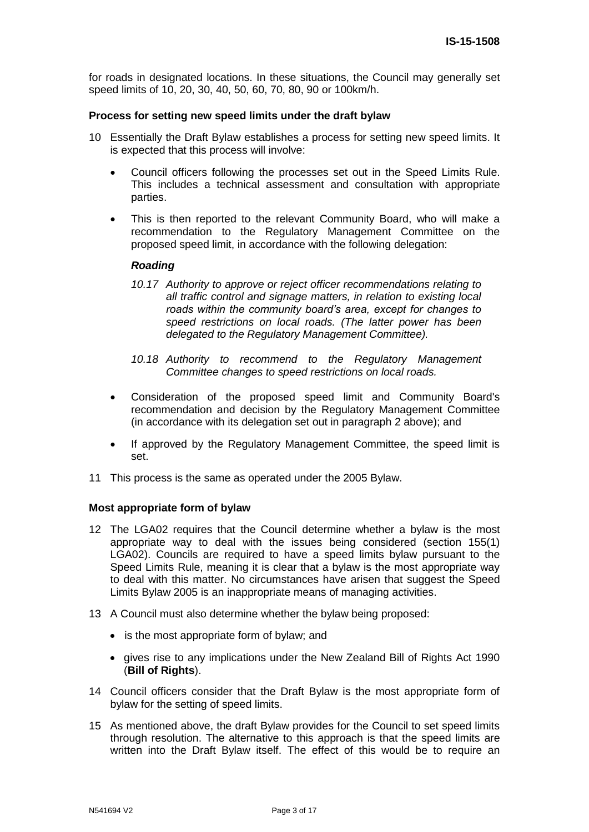for roads in designated locations. In these situations, the Council may generally set speed limits of 10, 20, 30, 40, 50, 60, 70, 80, 90 or 100km/h.

#### **Process for setting new speed limits under the draft bylaw**

- 10 Essentially the Draft Bylaw establishes a process for setting new speed limits. It is expected that this process will involve:
	- Council officers following the processes set out in the Speed Limits Rule. This includes a technical assessment and consultation with appropriate parties.
	- This is then reported to the relevant Community Board, who will make a recommendation to the Regulatory Management Committee on the proposed speed limit, in accordance with the following delegation:

#### *Roading*

- *10.17 Authority to approve or reject officer recommendations relating to all traffic control and signage matters, in relation to existing local roads within the community board's area, except for changes to speed restrictions on local roads. (The latter power has been delegated to the Regulatory Management Committee).*
- *10.18 Authority to recommend to the Regulatory Management Committee changes to speed restrictions on local roads.*
- Consideration of the proposed speed limit and Community Board's recommendation and decision by the Regulatory Management Committee (in accordance with its delegation set out in paragraph 2 above); and
- If approved by the Regulatory Management Committee, the speed limit is set.
- 11 This process is the same as operated under the 2005 Bylaw.

#### **Most appropriate form of bylaw**

- 12 The LGA02 requires that the Council determine whether a bylaw is the most appropriate way to deal with the issues being considered (section 155(1) LGA02). Councils are required to have a speed limits bylaw pursuant to the Speed Limits Rule, meaning it is clear that a bylaw is the most appropriate way to deal with this matter. No circumstances have arisen that suggest the Speed Limits Bylaw 2005 is an inappropriate means of managing activities.
- 13 A Council must also determine whether the bylaw being proposed:
	- is the most appropriate form of bylaw; and
	- gives rise to any implications under the New Zealand Bill of Rights Act 1990 (**Bill of Rights**).
- 14 Council officers consider that the Draft Bylaw is the most appropriate form of bylaw for the setting of speed limits.
- 15 As mentioned above, the draft Bylaw provides for the Council to set speed limits through resolution. The alternative to this approach is that the speed limits are written into the Draft Bylaw itself. The effect of this would be to require an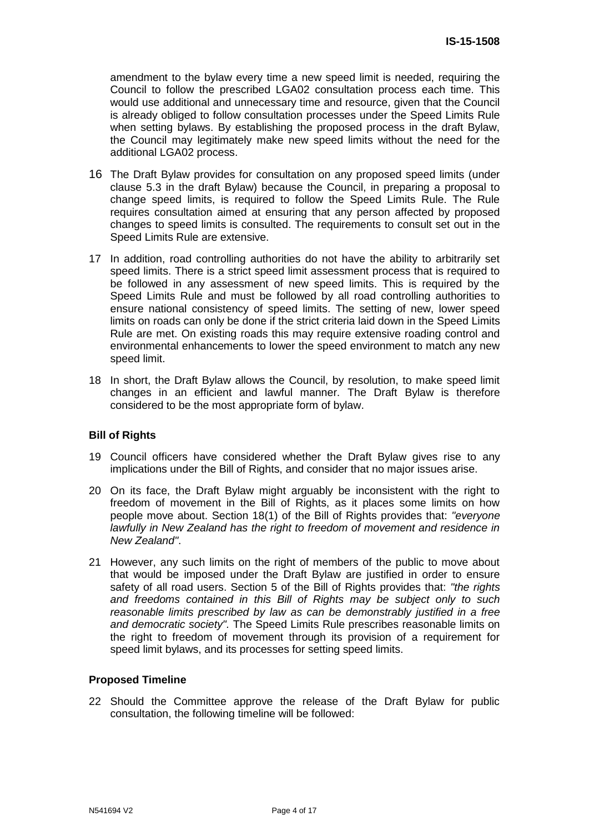amendment to the bylaw every time a new speed limit is needed, requiring the Council to follow the prescribed LGA02 consultation process each time. This would use additional and unnecessary time and resource, given that the Council is already obliged to follow consultation processes under the Speed Limits Rule when setting bylaws. By establishing the proposed process in the draft Bylaw, the Council may legitimately make new speed limits without the need for the additional LGA02 process.

- 16 The Draft Bylaw provides for consultation on any proposed speed limits (under clause 5.3 in the draft Bylaw) because the Council, in preparing a proposal to change speed limits, is required to follow the Speed Limits Rule. The Rule requires consultation aimed at ensuring that any person affected by proposed changes to speed limits is consulted. The requirements to consult set out in the Speed Limits Rule are extensive.
- 17 In addition, road controlling authorities do not have the ability to arbitrarily set speed limits. There is a strict speed limit assessment process that is required to be followed in any assessment of new speed limits. This is required by the Speed Limits Rule and must be followed by all road controlling authorities to ensure national consistency of speed limits. The setting of new, lower speed limits on roads can only be done if the strict criteria laid down in the Speed Limits Rule are met. On existing roads this may require extensive roading control and environmental enhancements to lower the speed environment to match any new speed limit.
- 18 In short, the Draft Bylaw allows the Council, by resolution, to make speed limit changes in an efficient and lawful manner. The Draft Bylaw is therefore considered to be the most appropriate form of bylaw.

#### **Bill of Rights**

- 19 Council officers have considered whether the Draft Bylaw gives rise to any implications under the Bill of Rights, and consider that no major issues arise.
- 20 On its face, the Draft Bylaw might arguably be inconsistent with the right to freedom of movement in the Bill of Rights, as it places some limits on how people move about. Section 18(1) of the Bill of Rights provides that: *"everyone lawfully in New Zealand has the right to freedom of movement and residence in New Zealand"*.
- 21 However, any such limits on the right of members of the public to move about that would be imposed under the Draft Bylaw are justified in order to ensure safety of all road users. Section 5 of the Bill of Rights provides that: *"the rights and freedoms contained in this Bill of Rights may be subject only to such reasonable limits prescribed by law as can be demonstrably justified in a free and democratic society".* The Speed Limits Rule prescribes reasonable limits on the right to freedom of movement through its provision of a requirement for speed limit bylaws, and its processes for setting speed limits.

#### **Proposed Timeline**

22 Should the Committee approve the release of the Draft Bylaw for public consultation, the following timeline will be followed: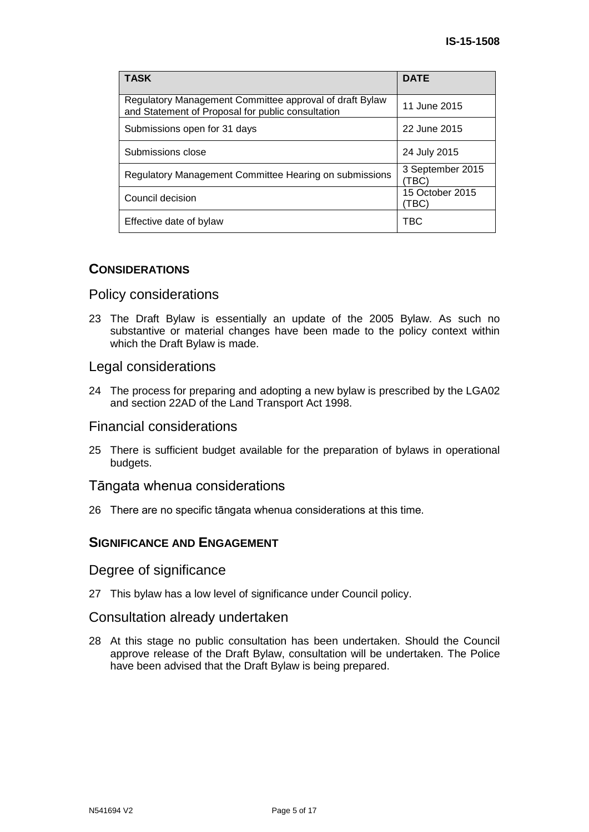| <b>TASK</b>                                                                                                  | <b>DATE</b>               |
|--------------------------------------------------------------------------------------------------------------|---------------------------|
| Regulatory Management Committee approval of draft Bylaw<br>and Statement of Proposal for public consultation | 11 June 2015              |
| Submissions open for 31 days                                                                                 | 22 June 2015              |
| Submissions close                                                                                            | 24 July 2015              |
| Regulatory Management Committee Hearing on submissions                                                       | 3 September 2015<br>(TBC) |
| Council decision                                                                                             | 15 October 2015<br>(TBC   |
| Effective date of bylaw                                                                                      | TBC                       |

#### **CONSIDERATIONS**

#### Policy considerations

23 The Draft Bylaw is essentially an update of the 2005 Bylaw. As such no substantive or material changes have been made to the policy context within which the Draft Bylaw is made.

#### Legal considerations

24 The process for preparing and adopting a new bylaw is prescribed by the LGA02 and section 22AD of the Land Transport Act 1998.

#### Financial considerations

25 There is sufficient budget available for the preparation of bylaws in operational budgets.

#### Tāngata whenua considerations

26 There are no specific tāngata whenua considerations at this time.

#### **SIGNIFICANCE AND ENGAGEMENT**

Degree of significance

27 This bylaw has a low level of significance under Council policy.

#### Consultation already undertaken

28 At this stage no public consultation has been undertaken. Should the Council approve release of the Draft Bylaw, consultation will be undertaken. The Police have been advised that the Draft Bylaw is being prepared.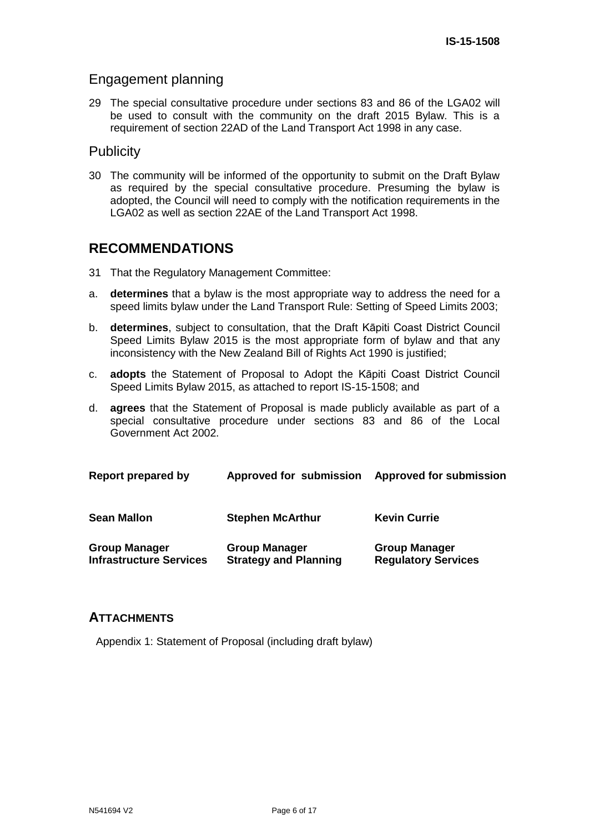## Engagement planning

29 The special consultative procedure under sections 83 and 86 of the LGA02 will be used to consult with the community on the draft 2015 Bylaw. This is a requirement of section 22AD of the Land Transport Act 1998 in any case.

### **Publicity**

30 The community will be informed of the opportunity to submit on the Draft Bylaw as required by the special consultative procedure. Presuming the bylaw is adopted, the Council will need to comply with the notification requirements in the LGA02 as well as section 22AE of the Land Transport Act 1998.

## **RECOMMENDATIONS**

- 31 That the Regulatory Management Committee:
- a. **determines** that a bylaw is the most appropriate way to address the need for a speed limits bylaw under the Land Transport Rule: Setting of Speed Limits 2003;
- b. **determines**, subject to consultation, that the Draft Kāpiti Coast District Council Speed Limits Bylaw 2015 is the most appropriate form of bylaw and that any inconsistency with the New Zealand Bill of Rights Act 1990 is justified;
- c. **adopts** the Statement of Proposal to Adopt the Kāpiti Coast District Council Speed Limits Bylaw 2015, as attached to report IS-15-1508; and
- d. **agrees** that the Statement of Proposal is made publicly available as part of a special consultative procedure under sections 83 and 86 of the Local Government Act 2002.

| Report prepared by                                     | Approved for submission                              | <b>Approved for submission</b>                     |
|--------------------------------------------------------|------------------------------------------------------|----------------------------------------------------|
| <b>Sean Mallon</b>                                     | <b>Stephen McArthur</b>                              | <b>Kevin Currie</b>                                |
| <b>Group Manager</b><br><b>Infrastructure Services</b> | <b>Group Manager</b><br><b>Strategy and Planning</b> | <b>Group Manager</b><br><b>Regulatory Services</b> |

#### **ATTACHMENTS**

Appendix 1: Statement of Proposal (including draft bylaw)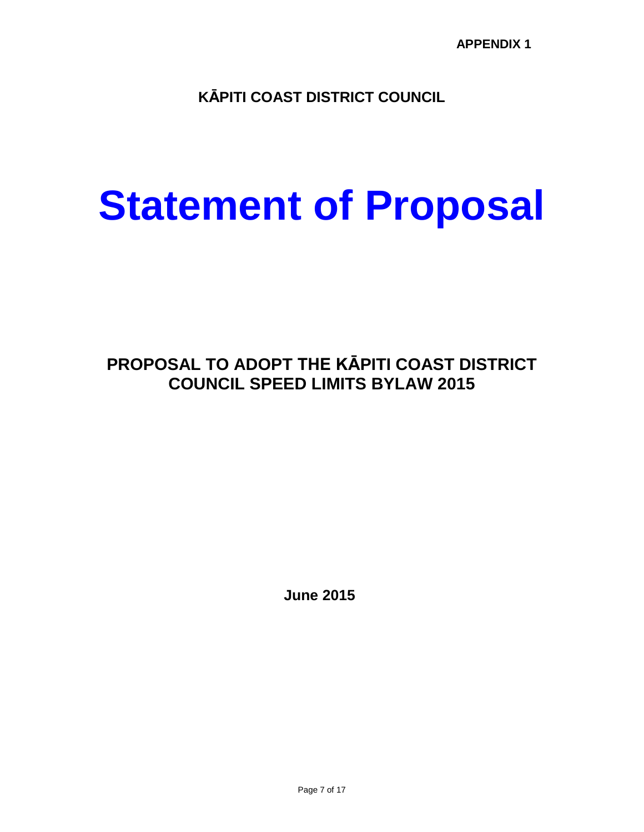**KĀPITI COAST DISTRICT COUNCIL**

# **Statement of Proposal**

# **PROPOSAL TO ADOPT THE KĀPITI COAST DISTRICT COUNCIL SPEED LIMITS BYLAW 2015**

**June 2015**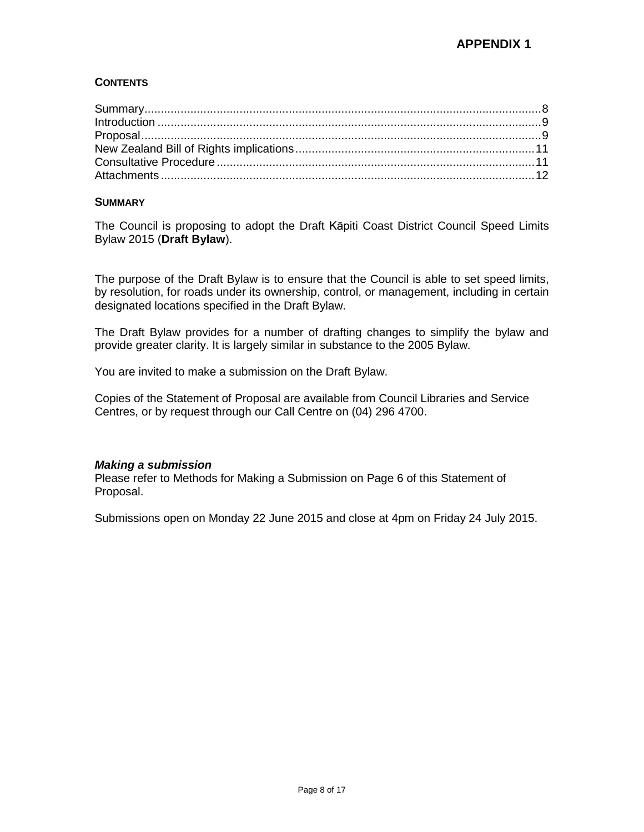#### **CONTENTS**

#### <span id="page-7-0"></span>**SUMMARY**

The Council is proposing to adopt the Draft Kāpiti Coast District Council Speed Limits Bylaw 2015 (**Draft Bylaw**).

The purpose of the Draft Bylaw is to ensure that the Council is able to set speed limits, by resolution, for roads under its ownership, control, or management, including in certain designated locations specified in the Draft Bylaw.

The Draft Bylaw provides for a number of drafting changes to simplify the bylaw and provide greater clarity. It is largely similar in substance to the 2005 Bylaw.

You are invited to make a submission on the Draft Bylaw.

Copies of the Statement of Proposal are available from Council Libraries and Service Centres, or by request through our Call Centre on (04) 296 4700.

#### *Making a submission*

Please refer to Methods for Making a Submission on Page 6 of this Statement of Proposal.

Submissions open on Monday 22 June 2015 and close at 4pm on Friday 24 July 2015.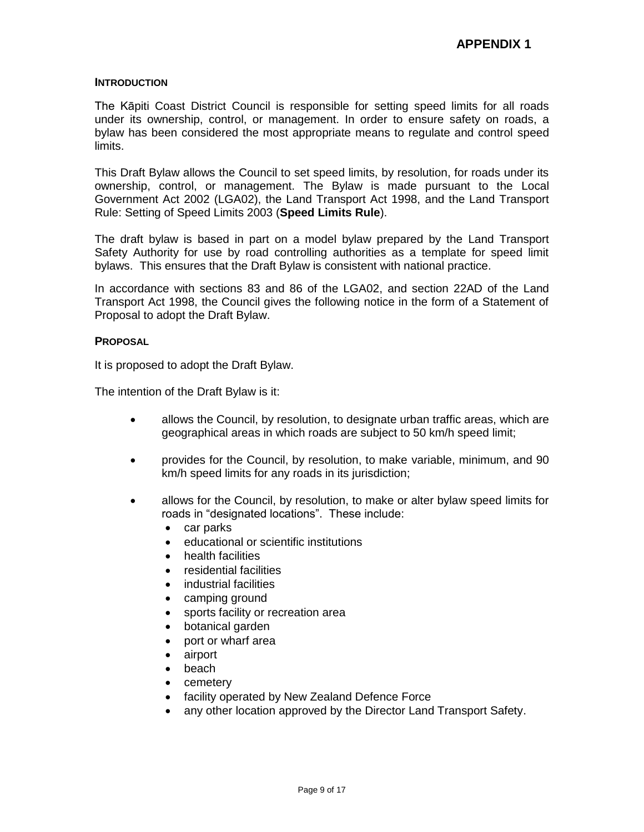#### <span id="page-8-0"></span>**INTRODUCTION**

The Kāpiti Coast District Council is responsible for setting speed limits for all roads under its ownership, control, or management. In order to ensure safety on roads, a bylaw has been considered the most appropriate means to regulate and control speed limits.

This Draft Bylaw allows the Council to set speed limits, by resolution, for roads under its ownership, control, or management. The Bylaw is made pursuant to the Local Government Act 2002 (LGA02), the Land Transport Act 1998, and the Land Transport Rule: Setting of Speed Limits 2003 (**Speed Limits Rule**).

The draft bylaw is based in part on a model bylaw prepared by the Land Transport Safety Authority for use by road controlling authorities as a template for speed limit bylaws. This ensures that the Draft Bylaw is consistent with national practice.

In accordance with sections 83 and 86 of the LGA02, and section 22AD of the Land Transport Act 1998, the Council gives the following notice in the form of a Statement of Proposal to adopt the Draft Bylaw.

#### <span id="page-8-1"></span>**PROPOSAL**

It is proposed to adopt the Draft Bylaw.

The intention of the Draft Bylaw is it:

- allows the Council, by resolution, to designate urban traffic areas, which are geographical areas in which roads are subject to 50 km/h speed limit;
- provides for the Council, by resolution, to make variable, minimum, and 90 km/h speed limits for any roads in its jurisdiction;
- allows for the Council, by resolution, to make or alter bylaw speed limits for roads in "designated locations". These include:
	- car parks
	- educational or scientific institutions
	- health facilities
	- residential facilities
	- industrial facilities
	- camping ground
	- sports facility or recreation area
	- botanical garden
	- port or wharf area
	- airport
	- beach
	- cemetery
	- facility operated by New Zealand Defence Force
	- any other location approved by the Director Land Transport Safety.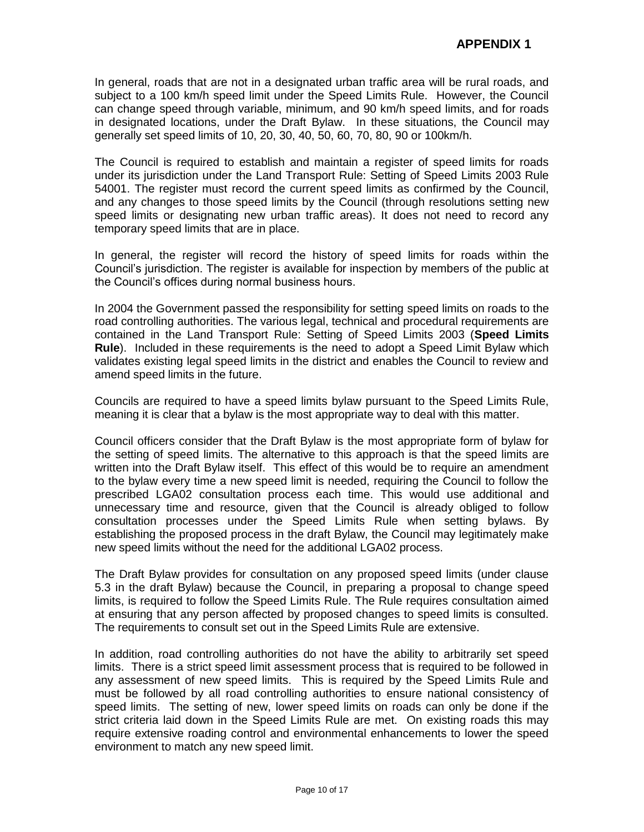In general, roads that are not in a designated urban traffic area will be rural roads, and subject to a 100 km/h speed limit under the Speed Limits Rule. However, the Council can change speed through variable, minimum, and 90 km/h speed limits, and for roads in designated locations, under the Draft Bylaw. In these situations, the Council may generally set speed limits of 10, 20, 30, 40, 50, 60, 70, 80, 90 or 100km/h.

The Council is required to establish and maintain a register of speed limits for roads under its jurisdiction under the Land Transport Rule: Setting of Speed Limits 2003 Rule 54001. The register must record the current speed limits as confirmed by the Council, and any changes to those speed limits by the Council (through resolutions setting new speed limits or designating new urban traffic areas). It does not need to record any temporary speed limits that are in place.

In general, the register will record the history of speed limits for roads within the Council's jurisdiction. The register is available for inspection by members of the public at the Council's offices during normal business hours.

In 2004 the Government passed the responsibility for setting speed limits on roads to the road controlling authorities. The various legal, technical and procedural requirements are contained in the Land Transport Rule: Setting of Speed Limits 2003 (**Speed Limits Rule**). Included in these requirements is the need to adopt a Speed Limit Bylaw which validates existing legal speed limits in the district and enables the Council to review and amend speed limits in the future.

Councils are required to have a speed limits bylaw pursuant to the Speed Limits Rule, meaning it is clear that a bylaw is the most appropriate way to deal with this matter.

Council officers consider that the Draft Bylaw is the most appropriate form of bylaw for the setting of speed limits. The alternative to this approach is that the speed limits are written into the Draft Bylaw itself. This effect of this would be to require an amendment to the bylaw every time a new speed limit is needed, requiring the Council to follow the prescribed LGA02 consultation process each time. This would use additional and unnecessary time and resource, given that the Council is already obliged to follow consultation processes under the Speed Limits Rule when setting bylaws. By establishing the proposed process in the draft Bylaw, the Council may legitimately make new speed limits without the need for the additional LGA02 process.

The Draft Bylaw provides for consultation on any proposed speed limits (under clause 5.3 in the draft Bylaw) because the Council, in preparing a proposal to change speed limits, is required to follow the Speed Limits Rule. The Rule requires consultation aimed at ensuring that any person affected by proposed changes to speed limits is consulted. The requirements to consult set out in the Speed Limits Rule are extensive.

In addition, road controlling authorities do not have the ability to arbitrarily set speed limits. There is a strict speed limit assessment process that is required to be followed in any assessment of new speed limits. This is required by the Speed Limits Rule and must be followed by all road controlling authorities to ensure national consistency of speed limits. The setting of new, lower speed limits on roads can only be done if the strict criteria laid down in the Speed Limits Rule are met. On existing roads this may require extensive roading control and environmental enhancements to lower the speed environment to match any new speed limit.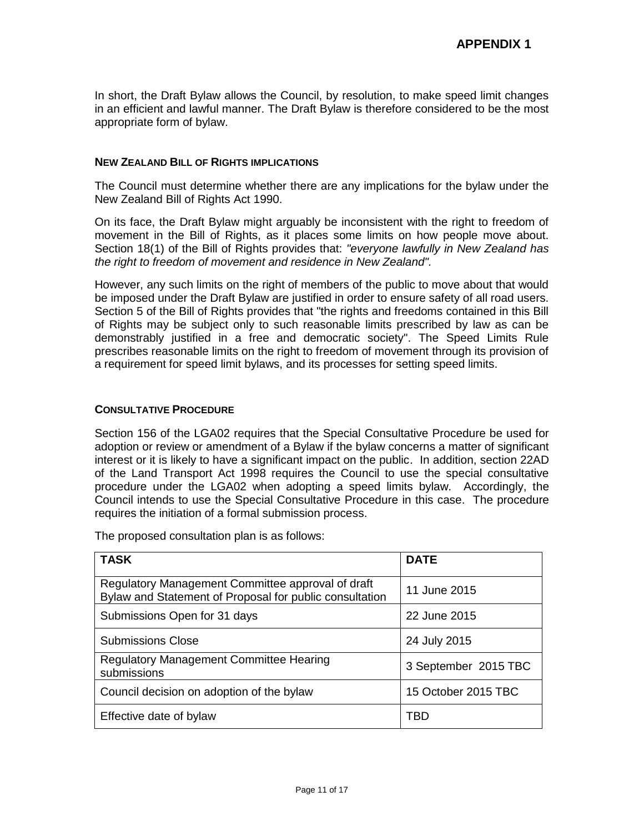In short, the Draft Bylaw allows the Council, by resolution, to make speed limit changes in an efficient and lawful manner. The Draft Bylaw is therefore considered to be the most appropriate form of bylaw.

#### <span id="page-10-0"></span>**NEW ZEALAND BILL OF RIGHTS IMPLICATIONS**

The Council must determine whether there are any implications for the bylaw under the New Zealand Bill of Rights Act 1990.

On its face, the Draft Bylaw might arguably be inconsistent with the right to freedom of movement in the Bill of Rights, as it places some limits on how people move about. Section 18(1) of the Bill of Rights provides that: *"everyone lawfully in New Zealand has the right to freedom of movement and residence in New Zealand".*

However, any such limits on the right of members of the public to move about that would be imposed under the Draft Bylaw are justified in order to ensure safety of all road users. Section 5 of the Bill of Rights provides that "the rights and freedoms contained in this Bill of Rights may be subject only to such reasonable limits prescribed by law as can be demonstrably justified in a free and democratic society". The Speed Limits Rule prescribes reasonable limits on the right to freedom of movement through its provision of a requirement for speed limit bylaws, and its processes for setting speed limits.

#### <span id="page-10-1"></span>**CONSULTATIVE PROCEDURE**

Section 156 of the LGA02 requires that the Special Consultative Procedure be used for adoption or review or amendment of a Bylaw if the bylaw concerns a matter of significant interest or it is likely to have a significant impact on the public. In addition, section 22AD of the Land Transport Act 1998 requires the Council to use the special consultative procedure under the LGA02 when adopting a speed limits bylaw. Accordingly, the Council intends to use the Special Consultative Procedure in this case. The procedure requires the initiation of a formal submission process.

The proposed consultation plan is as follows:

| <b>TASK</b>                                                                                                  | <b>DATE</b>          |
|--------------------------------------------------------------------------------------------------------------|----------------------|
| Regulatory Management Committee approval of draft<br>Bylaw and Statement of Proposal for public consultation | 11 June 2015         |
| Submissions Open for 31 days                                                                                 | 22 June 2015         |
| <b>Submissions Close</b>                                                                                     | 24 July 2015         |
| <b>Regulatory Management Committee Hearing</b><br>submissions                                                | 3 September 2015 TBC |
| Council decision on adoption of the bylaw                                                                    | 15 October 2015 TBC  |
| Effective date of bylaw                                                                                      | TBD                  |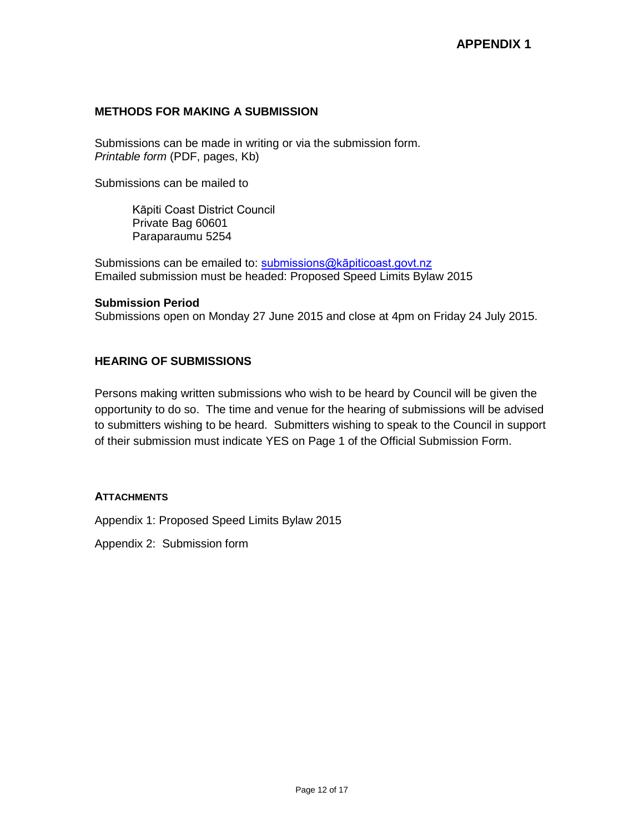#### **METHODS FOR MAKING A SUBMISSION**

Submissions can be made in writing or via the submission form. *Printable form* (PDF, pages, Kb)

Submissions can be mailed to

Kāpiti Coast District Council Private Bag 60601 Paraparaumu 5254

Submissions can be emailed to: submissions@kapiticoast.govt.nz Emailed submission must be headed: Proposed Speed Limits Bylaw 2015

#### **Submission Period**

Submissions open on Monday 27 June 2015 and close at 4pm on Friday 24 July 2015.

#### **HEARING OF SUBMISSIONS**

Persons making written submissions who wish to be heard by Council will be given the opportunity to do so. The time and venue for the hearing of submissions will be advised to submitters wishing to be heard. Submitters wishing to speak to the Council in support of their submission must indicate YES on Page 1 of the Official Submission Form.

#### <span id="page-11-0"></span>**ATTACHMENTS**

Appendix 1: Proposed Speed Limits Bylaw 2015

Appendix 2: Submission form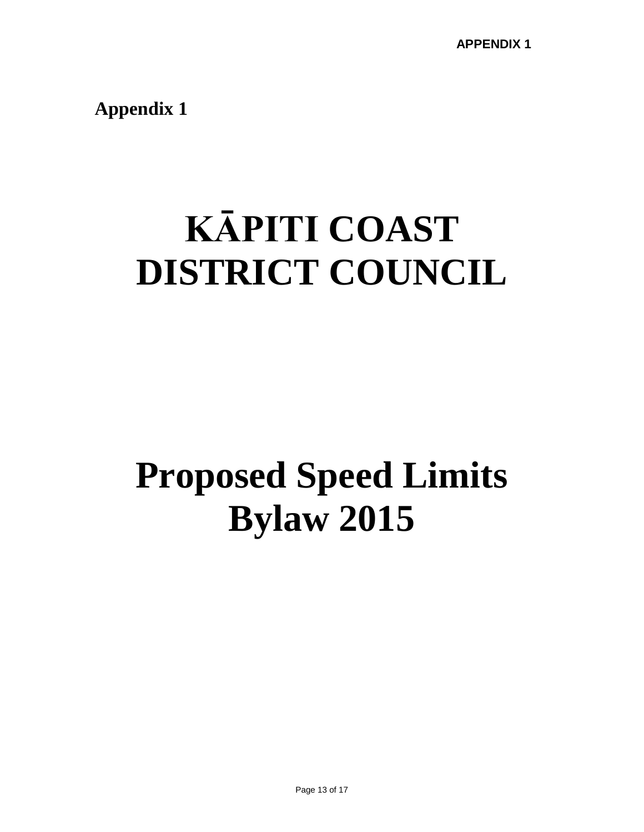**Appendix 1**

# **KĀPITI COAST DISTRICT COUNCIL**

# **Proposed Speed Limits Bylaw 2015**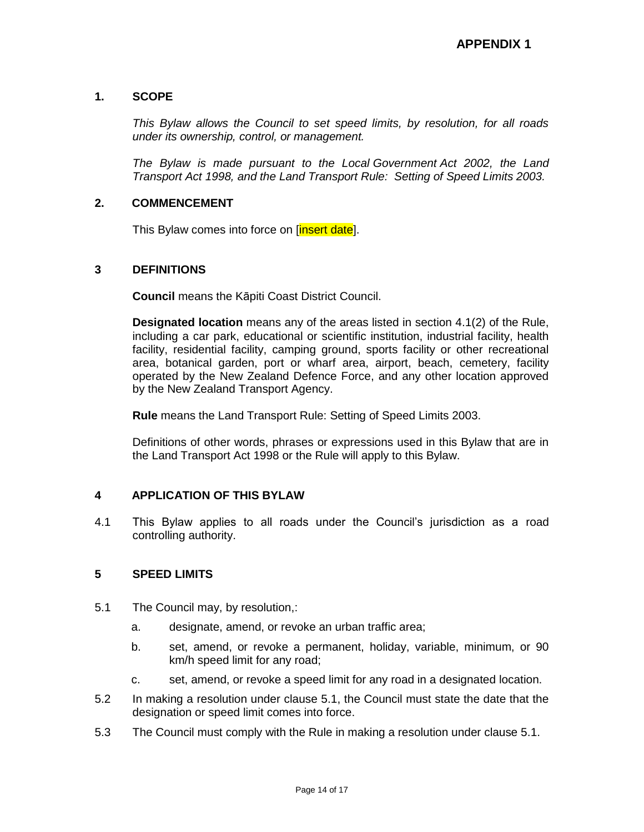#### **1. SCOPE**

*This Bylaw allows the Council to set speed limits, by resolution, for all roads under its ownership, control, or management.*

*The Bylaw is made pursuant to the Local Government Act 2002, the Land Transport Act 1998, and the Land Transport Rule: Setting of Speed Limits 2003.*

#### **2. COMMENCEMENT**

This Bylaw comes into force on [insert date].

#### **3 DEFINITIONS**

**Council** means the Kāpiti Coast District Council.

**Designated location** means any of the areas listed in section 4.1(2) of the Rule, including a car park, educational or scientific institution, industrial facility, health facility, residential facility, camping ground, sports facility or other recreational area, botanical garden, port or wharf area, airport, beach, cemetery, facility operated by the New Zealand Defence Force, and any other location approved by the New Zealand Transport Agency.

**Rule** means the Land Transport Rule: Setting of Speed Limits 2003.

Definitions of other words, phrases or expressions used in this Bylaw that are in the Land Transport Act 1998 or the Rule will apply to this Bylaw.

#### **4 APPLICATION OF THIS BYLAW**

4.1 This Bylaw applies to all roads under the Council's jurisdiction as a road controlling authority.

#### **5 SPEED LIMITS**

- 5.1 The Council may, by resolution,:
	- a. designate, amend, or revoke an urban traffic area;
	- b. set, amend, or revoke a permanent, holiday, variable, minimum, or 90 km/h speed limit for any road;
	- c. set, amend, or revoke a speed limit for any road in a designated location.
- 5.2 In making a resolution under clause 5.1, the Council must state the date that the designation or speed limit comes into force.
- 5.3 The Council must comply with the Rule in making a resolution under clause 5.1.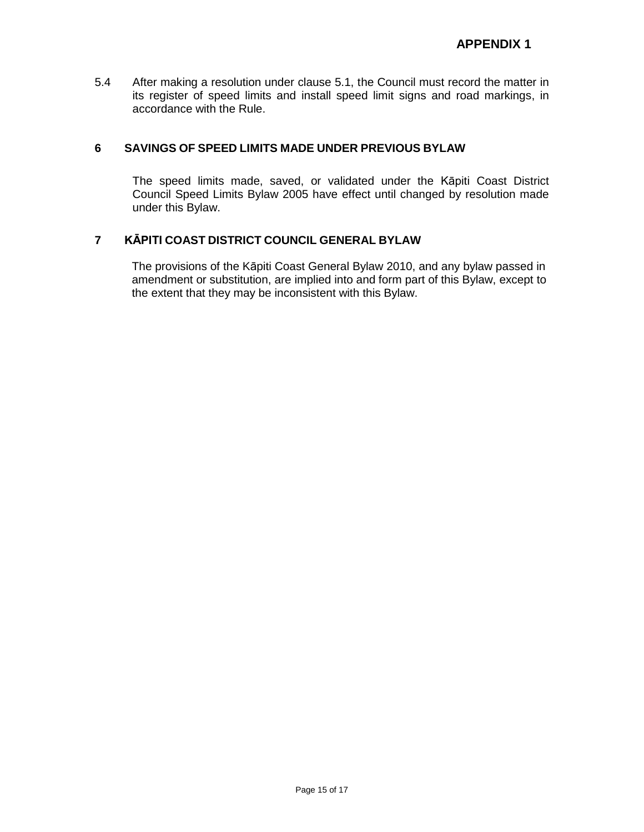5.4 After making a resolution under clause 5.1, the Council must record the matter in its register of speed limits and install speed limit signs and road markings, in accordance with the Rule.

#### **6 SAVINGS OF SPEED LIMITS MADE UNDER PREVIOUS BYLAW**

The speed limits made, saved, or validated under the Kāpiti Coast District Council Speed Limits Bylaw 2005 have effect until changed by resolution made under this Bylaw.

#### **7 KĀPITI COAST DISTRICT COUNCIL GENERAL BYLAW**

The provisions of the Kāpiti Coast General Bylaw 2010, and any bylaw passed in amendment or substitution, are implied into and form part of this Bylaw, except to the extent that they may be inconsistent with this Bylaw.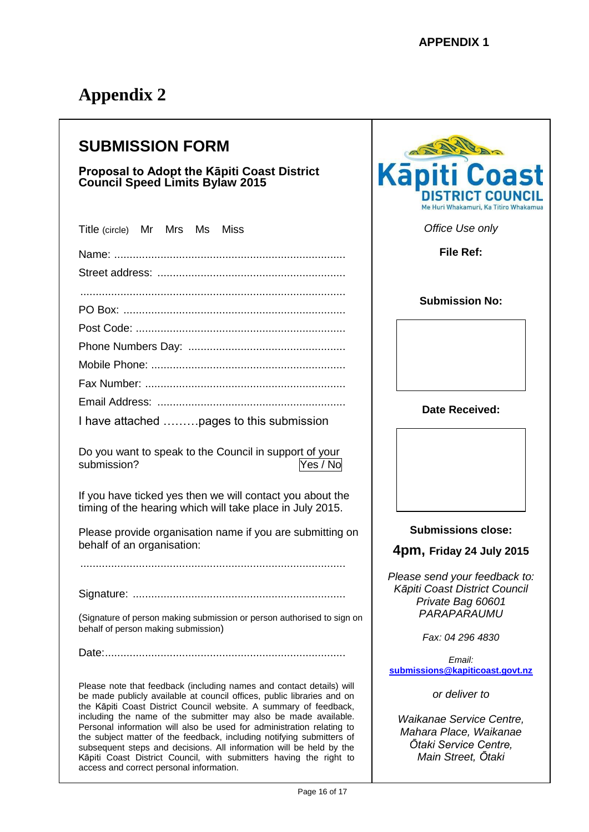# **Appendix 2**

# **SUBMISSION FORM**

#### **Proposal to Adopt the Kāpiti Coast District Council Speed Limits Bylaw 2015**

| Title (circle) Mr Mrs Ms Miss                                                                                                                                                                                                                                                                                                                                                                                                                                                                                   |  |  |  |  |
|-----------------------------------------------------------------------------------------------------------------------------------------------------------------------------------------------------------------------------------------------------------------------------------------------------------------------------------------------------------------------------------------------------------------------------------------------------------------------------------------------------------------|--|--|--|--|
|                                                                                                                                                                                                                                                                                                                                                                                                                                                                                                                 |  |  |  |  |
|                                                                                                                                                                                                                                                                                                                                                                                                                                                                                                                 |  |  |  |  |
|                                                                                                                                                                                                                                                                                                                                                                                                                                                                                                                 |  |  |  |  |
|                                                                                                                                                                                                                                                                                                                                                                                                                                                                                                                 |  |  |  |  |
|                                                                                                                                                                                                                                                                                                                                                                                                                                                                                                                 |  |  |  |  |
|                                                                                                                                                                                                                                                                                                                                                                                                                                                                                                                 |  |  |  |  |
|                                                                                                                                                                                                                                                                                                                                                                                                                                                                                                                 |  |  |  |  |
|                                                                                                                                                                                                                                                                                                                                                                                                                                                                                                                 |  |  |  |  |
|                                                                                                                                                                                                                                                                                                                                                                                                                                                                                                                 |  |  |  |  |
|                                                                                                                                                                                                                                                                                                                                                                                                                                                                                                                 |  |  |  |  |
| I have attached  pages to this submission                                                                                                                                                                                                                                                                                                                                                                                                                                                                       |  |  |  |  |
| Do you want to speak to the Council in support of your<br>submission?<br>Yes / No                                                                                                                                                                                                                                                                                                                                                                                                                               |  |  |  |  |
| If you have ticked yes then we will contact you about the<br>timing of the hearing which will take place in July 2015.                                                                                                                                                                                                                                                                                                                                                                                          |  |  |  |  |
| Please provide organisation name if you are submitting on<br>behalf of an organisation:                                                                                                                                                                                                                                                                                                                                                                                                                         |  |  |  |  |
|                                                                                                                                                                                                                                                                                                                                                                                                                                                                                                                 |  |  |  |  |
|                                                                                                                                                                                                                                                                                                                                                                                                                                                                                                                 |  |  |  |  |
| (Signature of person making submission or person authorised to sign on<br>behalf of person making submission)                                                                                                                                                                                                                                                                                                                                                                                                   |  |  |  |  |
| Date:                                                                                                                                                                                                                                                                                                                                                                                                                                                                                                           |  |  |  |  |
| Please note that feedback (including names and contact details) will<br>be made publicly available at council offices, public libraries and on<br>the Kāpiti Coast District Council website. A summary of feedback,<br>including the name of the submitter may also be made available.<br>Personal information will also be used for administration relating to<br>the subject matter of the feedback, including notifying submitters of<br>subsequent steps and decisions. All information will be held by the |  |  |  |  |

Kāpiti Coast District Council, with submitters having the right to

access and correct personal information.



*Office Use only*

**File Ref:** 

#### **Submission No:**

**Date Received:**

**Submissions close:**

**4pm, Friday 24 July 2015**

*Please send your feedback to: Kāpiti Coast District Council Private Bag 60601 PARAPARAUMU*

*Fax: 04 296 4830*

*Email:*  **[submissions@kapiticoast.govt.nz](mailto:submissions@kapiticoast.govt.nz)**

*or deliver to*

*Waikanae Service Centre, Mahara Place, Waikanae Ōtaki Service Centre, Main Street, Ōtaki*